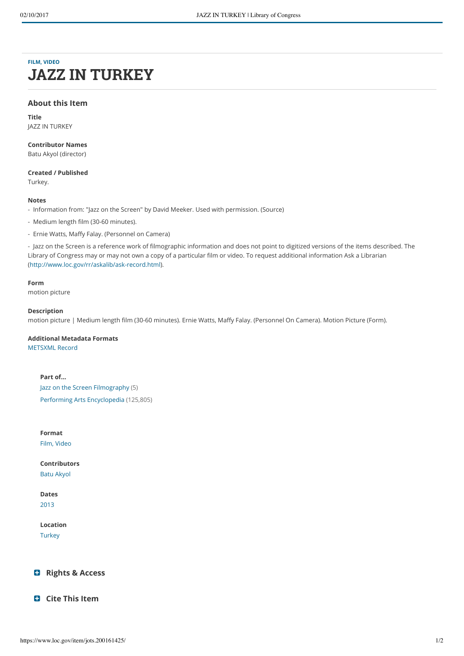# **[FILM, VIDEO](https://www.loc.gov/search/?fa=original_format%3Afilm%2C+video) JAZZ IN TURKEY**

#### **About this Item**

**Title** JAZZ IN TURKEY

**Contributor Names** Batu Akyol (director)

**Created / Published**

Turkey.

#### **Notes**

- Information from: "Jazz on the Screen" by David Meeker. Used with permission. (Source)

- Medium length film (30-60 minutes).
- Ernie Watts, Maffy Falay. (Personnel on Camera)

- Jazz on the Screen is a reference work of filmographic information and does not point to digitized versions of the items described. The Library of Congress may or may not own a copy of a particular film or video. To request additional information Ask a Librarian [\(http://www.loc.gov/rr/askalib/ask-record.html\)](http://www.loc.gov/rr/askalib/ask-record.html).

#### **Form**

motion picture

#### **Description**

motion picture | Medium length film (30-60 minutes). Ernie Watts, Maffy Falay. (Personnel On Camera). Motion Picture (Form).

#### **Additional Metadata Formats**

[METSXML Record](https://lcweb2.loc.gov/diglib/ihas/loc.natlib.jots.200161425/mets.xml)

### **Part of...**

[Jazz on the Screen Filmography \(5\)](https://www.loc.gov/collections/jazz-on-screen-filmography/) [Performing Arts Encyclopedia \(125,805\)](https://www.loc.gov/search/?fa=partof%3Aperforming+arts+encyclopedia)

#### **Format**

[Film, Video](https://www.loc.gov/search/?fa=original_format%3Afilm%2C+video)

**Contributors** [Batu Akyol](https://www.loc.gov/search/?fa=contributor%3Abatu+akyol)

**Dates** [2013](https://www.loc.gov/search/?dates=2013-2013)

**Location**

**[Turkey](https://www.loc.gov/search/?fa=location%3Aturkey)** 

#### <span id="page-0-0"></span>÷ **[Rights & Access](#page-0-0)**

<span id="page-0-1"></span>**[Cite This Item](#page-0-1)**